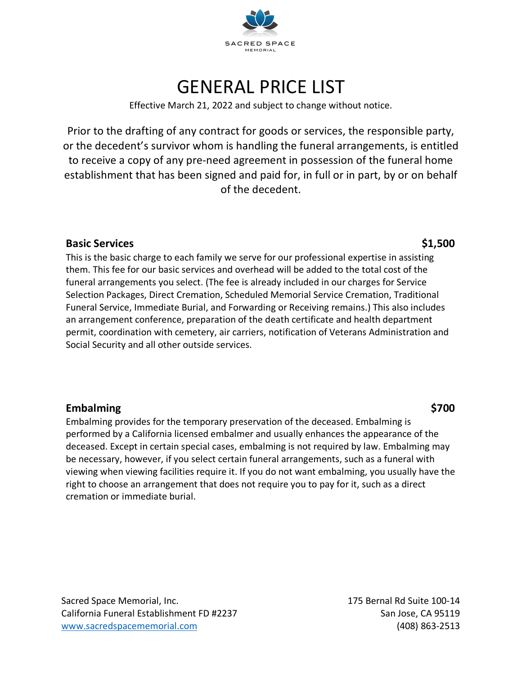

## GENERAL PRICE LIST

Effective March 21, 2022 and subject to change without notice.

Prior to the drafting of any contract for goods or services, the responsible party, or the decedent's survivor whom is handling the funeral arrangements, is entitled to receive a copy of any pre-need agreement in possession of the funeral home establishment that has been signed and paid for, in full or in part, by or on behalf of the decedent.

#### **Basic Services \$1,500**

This is the basic charge to each family we serve for our professional expertise in assisting them. This fee for our basic services and overhead will be added to the total cost of the funeral arrangements you select. (The fee is already included in our charges for Service Selection Packages, Direct Cremation, Scheduled Memorial Service Cremation, Traditional Funeral Service, Immediate Burial, and Forwarding or Receiving remains.) This also includes an arrangement conference, preparation of the death certificate and health department permit, coordination with cemetery, air carriers, notification of Veterans Administration and Social Security and all other outside services.

### **Embalming \$700**

Embalming provides for the temporary preservation of the deceased. Embalming is performed by a California licensed embalmer and usually enhances the appearance of the deceased. Except in certain special cases, embalming is not required by law. Embalming may be necessary, however, if you select certain funeral arrangements, such as a funeral with viewing when viewing facilities require it. If you do not want embalming, you usually have the right to choose an arrangement that does not require you to pay for it, such as a direct cremation or immediate burial.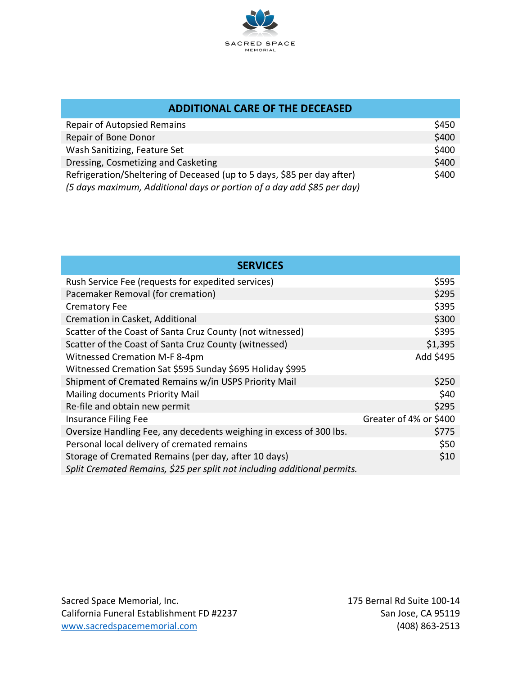

| <b>ADDITIONAL CARE OF THE DECEASED</b>                                  |       |  |
|-------------------------------------------------------------------------|-------|--|
| <b>Repair of Autopsied Remains</b>                                      | \$450 |  |
| Repair of Bone Donor                                                    | \$400 |  |
| Wash Sanitizing, Feature Set                                            | \$400 |  |
| Dressing, Cosmetizing and Casketing                                     | \$400 |  |
| Refrigeration/Sheltering of Deceased (up to 5 days, \$85 per day after) | \$400 |  |
| (5 days maximum, Additional days or portion of a day add \$85 per day)  |       |  |

| <b>SERVICES</b>                                                          |                        |
|--------------------------------------------------------------------------|------------------------|
| Rush Service Fee (requests for expedited services)                       | \$595                  |
| Pacemaker Removal (for cremation)                                        | \$295                  |
| <b>Crematory Fee</b>                                                     | \$395                  |
| Cremation in Casket, Additional                                          | \$300                  |
| Scatter of the Coast of Santa Cruz County (not witnessed)                | \$395                  |
| Scatter of the Coast of Santa Cruz County (witnessed)                    | \$1,395                |
| <b>Witnessed Cremation M-F 8-4pm</b>                                     | Add \$495              |
| Witnessed Cremation Sat \$595 Sunday \$695 Holiday \$995                 |                        |
| Shipment of Cremated Remains w/in USPS Priority Mail                     | \$250                  |
| Mailing documents Priority Mail                                          | \$40                   |
| Re-file and obtain new permit                                            | \$295                  |
| <b>Insurance Filing Fee</b>                                              | Greater of 4% or \$400 |
| Oversize Handling Fee, any decedents weighing in excess of 300 lbs.      | \$775                  |
| Personal local delivery of cremated remains                              | \$50                   |
| Storage of Cremated Remains (per day, after 10 days)                     | \$10                   |
| Split Cremated Remains, \$25 per split not including additional permits. |                        |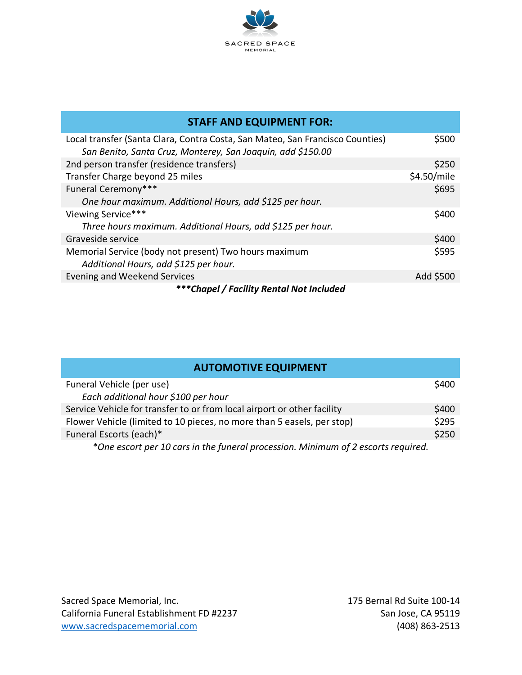

| <b>STAFF AND EQUIPMENT FOR:</b>                                                                                                              |             |
|----------------------------------------------------------------------------------------------------------------------------------------------|-------------|
| Local transfer (Santa Clara, Contra Costa, San Mateo, San Francisco Counties)<br>San Benito, Santa Cruz, Monterey, San Joaquin, add \$150.00 | \$500       |
| 2nd person transfer (residence transfers)                                                                                                    | \$250       |
| Transfer Charge beyond 25 miles                                                                                                              | \$4.50/mile |
| Funeral Ceremony***                                                                                                                          | \$695       |
| One hour maximum. Additional Hours, add \$125 per hour.                                                                                      |             |
| Viewing Service***                                                                                                                           | \$400       |
| Three hours maximum. Additional Hours, add \$125 per hour.                                                                                   |             |
| Graveside service                                                                                                                            | \$400       |
| Memorial Service (body not present) Two hours maximum<br>Additional Hours, add \$125 per hour.                                               | \$595       |
| Evening and Weekend Services                                                                                                                 | Add \$500   |
| ***Chapel / Facility Rental Not Included                                                                                                     |             |

| <b>AUTOMOTIVE EQUIPMENT</b>                                             |       |
|-------------------------------------------------------------------------|-------|
| Funeral Vehicle (per use)                                               | \$400 |
| Each additional hour \$100 per hour                                     |       |
| Service Vehicle for transfer to or from local airport or other facility | \$400 |
| Flower Vehicle (limited to 10 pieces, no more than 5 easels, per stop)  | \$295 |
| Funeral Escorts (each)*                                                 | \$250 |
|                                                                         |       |

*\*One escort per 10 cars in the funeral procession. Minimum of 2 escorts required.*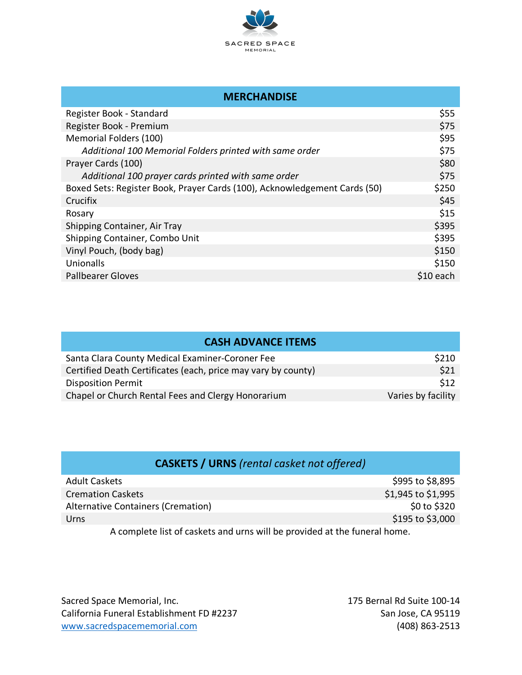

| <b>MERCHANDISE</b>                                                        |            |
|---------------------------------------------------------------------------|------------|
| Register Book - Standard                                                  | \$55       |
| Register Book - Premium                                                   | \$75       |
| Memorial Folders (100)                                                    | \$95       |
| Additional 100 Memorial Folders printed with same order                   | \$75       |
| Prayer Cards (100)                                                        | \$80       |
| Additional 100 prayer cards printed with same order                       | \$75       |
| Boxed Sets: Register Book, Prayer Cards (100), Acknowledgement Cards (50) | \$250      |
| Crucifix                                                                  | \$45       |
| Rosary                                                                    | \$15       |
| Shipping Container, Air Tray                                              | \$395      |
| Shipping Container, Combo Unit                                            | \$395      |
| Vinyl Pouch, (body bag)                                                   | \$150      |
| Unionalls                                                                 | \$150      |
| <b>Pallbearer Gloves</b>                                                  | $$10$ each |

| <b>CASH ADVANCE ITEMS</b>                                     |                    |
|---------------------------------------------------------------|--------------------|
| Santa Clara County Medical Examiner-Coroner Fee               | \$210              |
| Certified Death Certificates (each, price may vary by county) | \$21               |
| <b>Disposition Permit</b>                                     | \$12               |
| Chapel or Church Rental Fees and Clergy Honorarium            | Varies by facility |

| <b>CASKETS / URNS</b> (rental casket not offered)                                                    |                    |
|------------------------------------------------------------------------------------------------------|--------------------|
| Adult Caskets                                                                                        | \$995 to \$8,895   |
| <b>Cremation Caskets</b>                                                                             | \$1,945 to \$1,995 |
| <b>Alternative Containers (Cremation)</b>                                                            | \$0 to \$320       |
| Urns                                                                                                 | \$195 to \$3,000   |
| المتعمر والمستمسية المتعلقة الموامن بمستراط والنبير وسيبين المستمعة والمسر فالمناطق المقول سيسمون فا |                    |

A complete list of caskets and urns will be provided at the funeral home.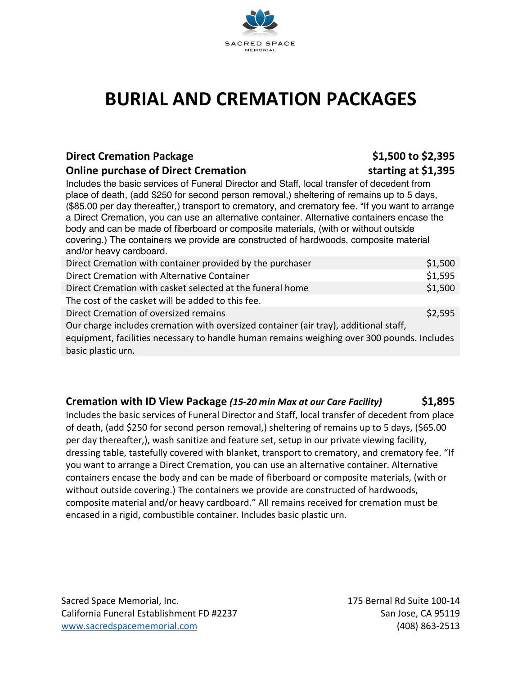

# **BURIAL AND CREMATION PACKAGES**

#### **Direct Cremation Package <b>\$1,500 to \$2,395**

#### **Online purchase of Direct Cremation starting at \$1,395**

Includes the basic services of Funeral Director and Staff, local transfer of decedent from place of death, (add \$250 for second person removal,) sheltering of remains up to 5 days, (\$85.00 per day thereafter,) transport to crematory, and crematory fee. "If you want to arrange a Direct Cremation, you can use an alternative container. Alternative containers encase the body and can be made of fiberboard or composite materials, (with or without outside covering.) The containers we provide are constructed of hardwoods, composite material and/or heavy cardboard.

| Direct Cremation with container provided by the purchaser                                  | \$1,500 |
|--------------------------------------------------------------------------------------------|---------|
| Direct Cremation with Alternative Container                                                | \$1,595 |
| Direct Cremation with casket selected at the funeral home                                  | \$1,500 |
| The cost of the casket will be added to this fee.                                          |         |
| Direct Cremation of oversized remains                                                      | \$2,595 |
| Our charge includes cremation with oversized container (air tray), additional staff,       |         |
| equipment, facilities necessary to handle human remains weighing over 300 pounds. Includes |         |
| basic plastic urn.                                                                         |         |

### **Cremation with ID View Package** *(15-20 min Max at our Care Facility)* **\$1,895**

Includes the basic services of Funeral Director and Staff, local transfer of decedent from place of death, (add \$250 for second person removal,) sheltering of remains up to 5 days, (\$65.00 per day thereafter,), wash sanitize and feature set, setup in our private viewing facility, dressing table, tastefully covered with blanket, transport to crematory, and crematory fee. "If you want to arrange a Direct Cremation, you can use an alternative container. Alternative containers encase the body and can be made of fiberboard or composite materials, (with or without outside covering.) The containers we provide are constructed of hardwoods, composite material and/or heavy cardboard." All remains received for cremation must be encased in a rigid, combustible container. Includes basic plastic urn.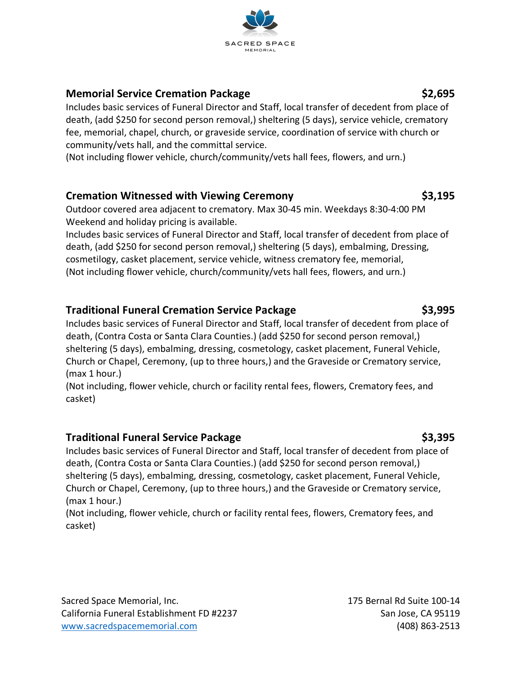### **Memorial Service Cremation Package \$2,695**

Includes basic services of Funeral Director and Staff, local transfer of decedent from place of death, (add \$250 for second person removal,) sheltering (5 days), service vehicle, crematory fee, memorial, chapel, church, or graveside service, coordination of service with church or community/vets hall, and the committal service.

(Not including flower vehicle, church/community/vets hall fees, flowers, and urn.)

### **Cremation Witnessed with Viewing Ceremony \$3,195**

Outdoor covered area adjacent to crematory. Max 30-45 min. Weekdays 8:30-4:00 PM Weekend and holiday pricing is available.

Includes basic services of Funeral Director and Staff, local transfer of decedent from place of death, (add \$250 for second person removal,) sheltering (5 days), embalming, Dressing, cosmetilogy, casket placement, service vehicle, witness crematory fee, memorial, (Not including flower vehicle, church/community/vets hall fees, flowers, and urn.)

### **Traditional Funeral Cremation Service Package \$3,995**

Includes basic services of Funeral Director and Staff, local transfer of decedent from place of death, (Contra Costa or Santa Clara Counties.) (add \$250 for second person removal,) sheltering (5 days), embalming, dressing, cosmetology, casket placement, Funeral Vehicle, Church or Chapel, Ceremony, (up to three hours,) and the Graveside or Crematory service, (max 1 hour.)

(Not including, flower vehicle, church or facility rental fees, flowers, Crematory fees, and casket)

### **Traditional Funeral Service Package \$3,395**

Includes basic services of Funeral Director and Staff, local transfer of decedent from place of death, (Contra Costa or Santa Clara Counties.) (add \$250 for second person removal,) sheltering (5 days), embalming, dressing, cosmetology, casket placement, Funeral Vehicle, Church or Chapel, Ceremony, (up to three hours,) and the Graveside or Crematory service, (max 1 hour.)

(Not including, flower vehicle, church or facility rental fees, flowers, Crematory fees, and casket)